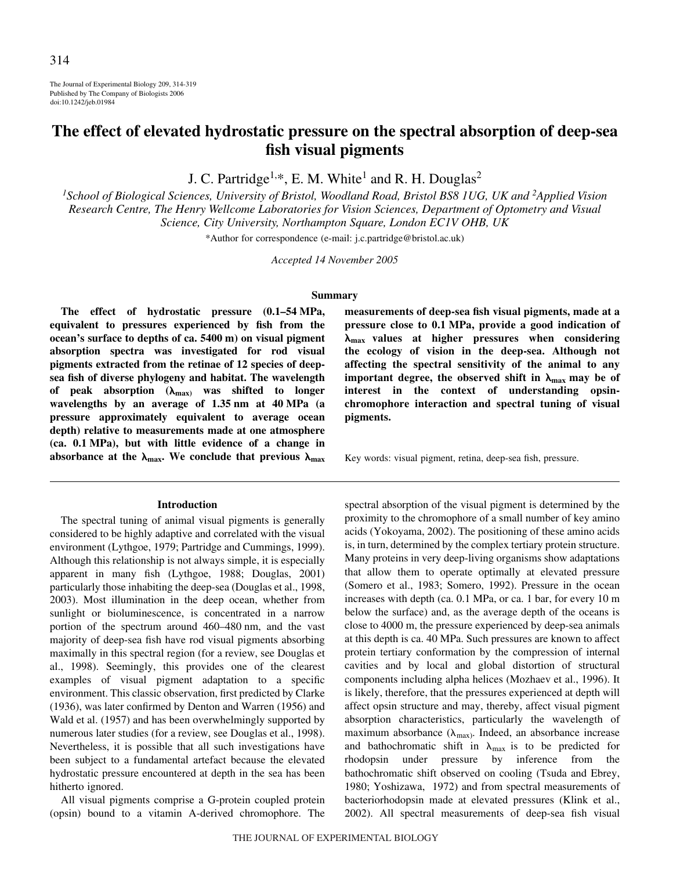The Journal of Experimental Biology 209, 314-319 Published by The Company of Biologists 2006 doi:10.1242/jeb.01984

# **The effect of elevated hydrostatic pressure on the spectral absorption of deep-sea fish visual pigments**

J. C. Partridge<sup>1,\*</sup>, E. M. White<sup>1</sup> and R. H. Douglas<sup>2</sup>

<sup>1</sup> School of Biological Sciences, University of Bristol, Woodland Road, Bristol BS8 1UG, UK and <sup>2</sup>Applied Vision *Research Centre, The Henry Wellcome Laboratories for Vision Sciences, Department of Optometry and Visual Science, City University, Northampton Square, London EC1V OHB, UK*

\*Author for correspondence (e-mail: j.c.partridge@bristol.ac.uk)

*Accepted 14 November 2005*

## **Summary**

The effect of hydrostatic pressure  $(0.1-54 \text{ MPa},$ **equivalent to pressures experienced by fish from the** ocean's surface to depths of ca. 5400 m) on visual pigment **absorption spectra was investigated for rod visual pigments extracted from the retinae of 12 species of deepsea fish of diverse phylogeny and habitat. The wavelength** of peak absorption ( $\lambda_{\text{max}}$ ) was shifted to longer wavelengths by an average of 1.35 nm at 40 MPa (a **pressure approximately equivalent to average ocean depth) relative to measurements made at one atmosphere (ca. 0.1·MPa), but with little evidence of a change in** absorbance at the  $\lambda_{\text{max}}$ . We conclude that previous  $\lambda_{\text{max}}$ 

#### **Introduction**

The spectral tuning of animal visual pigments is generally considered to be highly adaptive and correlated with the visual environment (Lythgoe, 1979; Partridge and Cummings, 1999). Although this relationship is not always simple, it is especially apparent in many fish (Lythgoe, 1988; Douglas, 2001) particularly those inhabiting the deep-sea (Douglas et al., 1998, 2003). Most illumination in the deep ocean, whether from sunlight or bioluminescence, is concentrated in a narrow portion of the spectrum around 460–480 nm, and the vast majority of deep-sea fish have rod visual pigments absorbing maximally in this spectral region (for a review, see Douglas et al., 1998). Seemingly, this provides one of the clearest examples of visual pigment adaptation to a specific environment. This classic observation, first predicted by Clarke (1936), was later confirmed by Denton and Warren (1956) and Wald et al. (1957) and has been overwhelmingly supported by numerous later studies (for a review, see Douglas et al., 1998). Nevertheless, it is possible that all such investigations have been subject to a fundamental artefact because the elevated hydrostatic pressure encountered at depth in the sea has been hitherto ignored.

All visual pigments comprise a G-protein coupled protein (opsin) bound to a vitamin A-derived chromophore. The

**measurements of deep-sea fish visual pigments, made at a** pressure close to 0.1 MPa, provide a good indication of -**max values at higher pressures when considering the ecology of vision in the deep-sea. Although not affecting the spectral sensitivity of the animal to any**  $im$  portant degree, the observed shift in  $\lambda_{\text{max}}$  may be of **interest in the context of understanding opsinchromophore interaction and spectral tuning of visual pigments.**

Key words: visual pigment, retina, deep-sea fish, pressure.

spectral absorption of the visual pigment is determined by the proximity to the chromophore of a small number of key amino acids (Yokoyama, 2002). The positioning of these amino acids is, in turn, determined by the complex tertiary protein structure. Many proteins in very deep-living organisms show adaptations that allow them to operate optimally at elevated pressure (Somero et al., 1983; Somero, 1992). Pressure in the ocean increases with depth (ca. 0.1 MPa, or ca. 1 bar, for every 10 m below the surface) and, as the average depth of the oceans is close to 4000 m, the pressure experienced by deep-sea animals at this depth is ca. 40 MPa. Such pressures are known to affect protein tertiary conformation by the compression of internal cavities and by local and global distortion of structural components including alpha helices (Mozhaev et al., 1996). It is likely, therefore, that the pressures experienced at depth will affect opsin structure and may, thereby, affect visual pigment absorption characteristics, particularly the wavelength of maximum absorbance  $(\lambda_{\text{max}})$ . Indeed, an absorbance increase and bathochromatic shift in  $\lambda_{\text{max}}$  is to be predicted for rhodopsin under pressure by inference from the bathochromatic shift observed on cooling (Tsuda and Ebrey, 1980; Yoshizawa, 1972) and from spectral measurements of bacteriorhodopsin made at elevated pressures (Klink et al., 2002). All spectral measurements of deep-sea fish visual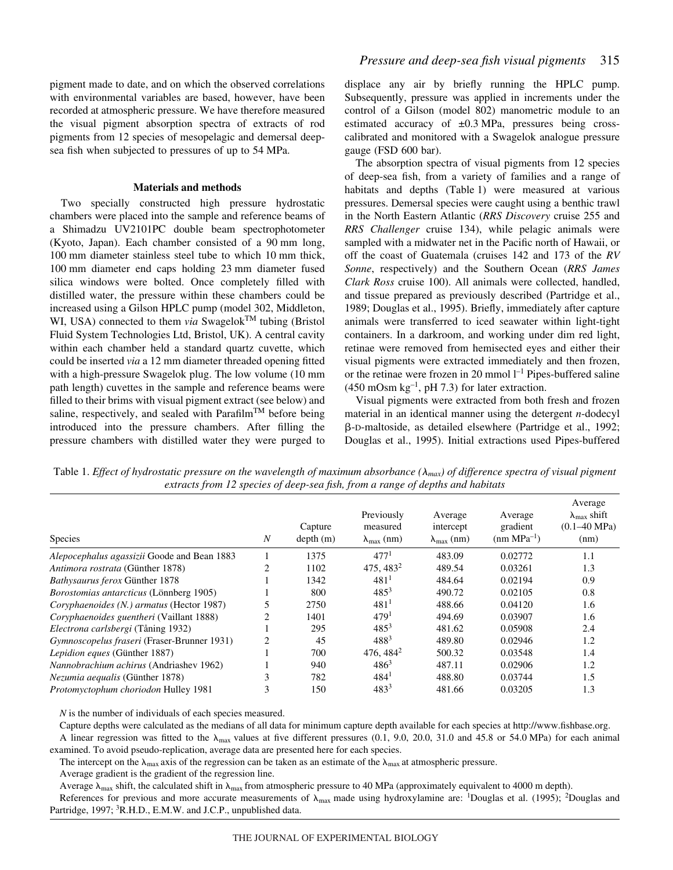pigment made to date, and on which the observed correlations with environmental variables are based, however, have been recorded at atmospheric pressure. We have therefore measured the visual pigment absorption spectra of extracts of rod pigments from 12 species of mesopelagic and demersal deepsea fish when subjected to pressures of up to 54 MPa.

### **Materials and methods**

Two specially constructed high pressure hydrostatic chambers were placed into the sample and reference beams of a Shimadzu UV2101PC double beam spectrophotometer (Kyoto, Japan). Each chamber consisted of a  $90 \text{ mm}$  long, 100 mm diameter stainless steel tube to which 10 mm thick, 100 mm diameter end caps holding 23 mm diameter fused silica windows were bolted. Once completely filled with distilled water, the pressure within these chambers could be increased using a Gilson HPLC pump (model 302, Middleton, WI, USA) connected to them *via* Swagelok<sup>TM</sup> tubing (Bristol Fluid System Technologies Ltd, Bristol, UK). A central cavity within each chamber held a standard quartz cuvette, which could be inserted *via* a 12 mm diameter threaded opening fitted with a high-pressure Swagelok plug. The low volume (10 mm path length) cuvettes in the sample and reference beams were filled to their brims with visual pigment extract (see below) and saline, respectively, and sealed with Parafilm<sup>TM</sup> before being introduced into the pressure chambers. After filling the pressure chambers with distilled water they were purged to

displace any air by briefly running the HPLC pump. Subsequently, pressure was applied in increments under the control of a Gilson (model 802) manometric module to an estimated accuracy of  $\pm 0.3$  MPa, pressures being crosscalibrated and monitored with a Swagelok analogue pressure gauge (FSD 600 bar).

The absorption spectra of visual pigments from 12 species of deep-sea fish, from a variety of families and a range of habitats and depths (Table 1) were measured at various pressures. Demersal species were caught using a benthic trawl in the North Eastern Atlantic (*RRS Discovery* cruise 255 and *RRS Challenger* cruise 134), while pelagic animals were sampled with a midwater net in the Pacific north of Hawaii, or off the coast of Guatemala (cruises 142 and 173 of the *RV Sonne*, respectively) and the Southern Ocean (*RRS James Clark Ross* cruise 100). All animals were collected, handled, and tissue prepared as previously described (Partridge et al., 1989; Douglas et al., 1995). Briefly, immediately after capture animals were transferred to iced seawater within light-tight containers. In a darkroom, and working under dim red light, retinae were removed from hemisected eyes and either their visual pigments were extracted immediately and then frozen, or the retinae were frozen in 20 mmol  $l^{-1}$  Pipes-buffered saline  $(450 \text{ mOsm kg}^{-1}, \text{pH} 7.3)$  for later extraction.

Visual pigments were extracted from both fresh and frozen material in an identical manner using the detergent *n*-dodecyl -D-maltoside, as detailed elsewhere (Partridge et al., 1992; Douglas et al., 1995). Initial extractions used Pipes-buffered

Table 1. *Effect of hydrostatic pressure on the wavelength of maximum absorbance (* $\lambda_{max}$ *) of difference spectra of visual pigment extracts from 12 species of deep-sea fish, from a range of depths and habitats* 

| <b>Species</b>                                 | $\boldsymbol{N}$ | Capture<br>depth(m) | Previously<br>measured<br>$\lambda_{\text{max}}$ (nm) | Average<br>intercept<br>$\lambda_{\text{max}}$ (nm) | Average<br>gradient<br>$(nm MPa^{-1})$ | Average<br>$\lambda_{\text{max}}$ shift<br>$(0.1 - 40 \text{ MPa})$<br>(nm) |
|------------------------------------------------|------------------|---------------------|-------------------------------------------------------|-----------------------------------------------------|----------------------------------------|-----------------------------------------------------------------------------|
| Alepocephalus agassizii Goode and Bean 1883    |                  | 1375                | 477 <sup>1</sup>                                      | 483.09                                              | 0.02772                                | 1.1                                                                         |
| Antimora rostrata (Günther 1878)               | 2                | 1102                | 475, 483 <sup>2</sup>                                 | 489.54                                              | 0.03261                                | 1.3                                                                         |
| <b>Bathysaurus ferox Günther 1878</b>          |                  | 1342                | $481^{1}$                                             | 484.64                                              | 0.02194                                | 0.9                                                                         |
| <i>Borostomias antarcticus</i> (Lönnberg 1905) |                  | 800                 | $485^3$                                               | 490.72                                              | 0.02105                                | 0.8                                                                         |
| Coryphaenoides (N.) armatus (Hector 1987)      |                  | 2750                | $481^{1}$                                             | 488.66                                              | 0.04120                                | 1.6                                                                         |
| Coryphaenoides guentheri (Vaillant 1888)       | $\mathfrak{D}$   | 1401                | 479 <sup>1</sup>                                      | 494.69                                              | 0.03907                                | 1.6                                                                         |
| Electrona carlsbergi (Tåning 1932)             |                  | 295                 | $485^{3}$                                             | 481.62                                              | 0.05908                                | 2.4                                                                         |
| Gymnoscopelus fraseri (Fraser-Brunner 1931)    | 2                | 45                  | $488^{3}$                                             | 489.80                                              | 0.02946                                | 1.2                                                                         |
| Lepidion eques (Günther 1887)                  |                  | 700                 | 476, $484^2$                                          | 500.32                                              | 0.03548                                | 1.4                                                                         |
| <i>Nannobrachium achirus</i> (Andriashev 1962) |                  | 940                 | $486^3$                                               | 487.11                                              | 0.02906                                | 1.2                                                                         |
| <i>Nezumia aequalis</i> (Günther 1878)         | 3                | 782                 | $484^1$                                               | 488.80                                              | 0.03744                                | 1.5                                                                         |
| Protomyctophum choriodon Hulley 1981           | 3                | 150                 | $483^{3}$                                             | 481.66                                              | 0.03205                                | 1.3                                                                         |

*N* is the number of individuals of each species measured.

Capture depths were calculated as the medians of all data for minimum capture depth available for each species at http://www.fishbase.org. A linear regression was fitted to the  $\lambda_{\text{max}}$  values at five different pressures (0.1, 9.0, 20.0, 31.0 and 45.8 or 54.0 MPa) for each animal examined. To avoid pseudo-replication, average data are presented here for each species.

The intercept on the  $\lambda_{\text{max}}$  axis of the regression can be taken as an estimate of the  $\lambda_{\text{max}}$  at atmospheric pressure.

Average gradient is the gradient of the regression line.

Average  $\lambda_{\text{max}}$  shift, the calculated shift in  $\lambda_{\text{max}}$  from atmospheric pressure to 40 MPa (approximately equivalent to 4000 m depth).

References for previous and more accurate measurements of  $\lambda_{\text{max}}$  made using hydroxylamine are: <sup>1</sup>Douglas et al. (1995); <sup>2</sup>Douglas and Partridge, 1997; <sup>3</sup>R.H.D., E.M.W. and J.C.P., unpublished data.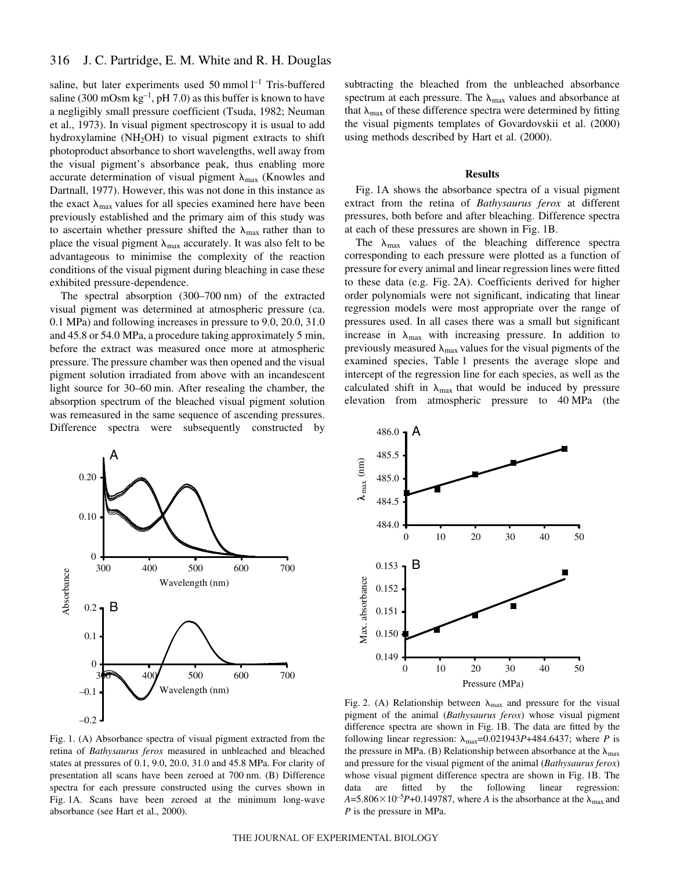saline, but later experiments used 50 mmol  $l^{-1}$  Tris-buffered saline (300 mOsm  $kg^{-1}$ , pH 7.0) as this buffer is known to have a negligibly small pressure coefficient (Tsuda, 1982; Neuman et al., 1973). In visual pigment spectroscopy it is usual to add hydroxylamine  $(NH_2OH)$  to visual pigment extracts to shift photoproduct absorbance to short wavelengths, well away from the visual pigment's absorbance peak, thus enabling more accurate determination of visual pigment  $\lambda_{\text{max}}$  (Knowles and Dartnall, 1977). However, this was not done in this instance as the exact  $\lambda_{\text{max}}$  values for all species examined here have been previously established and the primary aim of this study was to ascertain whether pressure shifted the  $\lambda_{\text{max}}$  rather than to place the visual pigment  $\lambda_{\text{max}}$  accurately. It was also felt to be advantageous to minimise the complexity of the reaction conditions of the visual pigment during bleaching in case these exhibited pressure-dependence.

The spectral absorption  $(300–700~\text{nm})$  of the extracted visual pigment was determined at atmospheric pressure (ca. 0.1 MPa) and following increases in pressure to 9.0, 20.0, 31.0 and 45.8 or 54.0 MPa, a procedure taking approximately 5 min, before the extract was measured once more at atmospheric pressure. The pressure chamber was then opened and the visual pigment solution irradiated from above with an incandescent light source for 30–60 min. After resealing the chamber, the absorption spectrum of the bleached visual pigment solution was remeasured in the same sequence of ascending pressures. Difference spectra were subsequently constructed by

subtracting the bleached from the unbleached absorbance spectrum at each pressure. The  $\lambda_{\text{max}}$  values and absorbance at that  $\lambda_{\text{max}}$  of these difference spectra were determined by fitting the visual pigments templates of Govardovskii et al. (2000) using methods described by Hart et al. (2000).

#### **Results**

Fig. 1A shows the absorbance spectra of a visual pigment extract from the retina of *Bathysaurus ferox* at different pressures, both before and after bleaching. Difference spectra at each of these pressures are shown in Fig. 1B.

The  $\lambda_{\text{max}}$  values of the bleaching difference spectra corresponding to each pressure were plotted as a function of pressure for every animal and linear regression lines were fitted to these data (e.g. Fig. 2A). Coefficients derived for higher order polynomials were not significant, indicating that linear regression models were most appropriate over the range of pressures used. In all cases there was a small but significant increase in  $\lambda_{\text{max}}$  with increasing pressure. In addition to previously measured  $\lambda_{\text{max}}$  values for the visual pigments of the examined species, Table 1 presents the average slope and intercept of the regression line for each species, as well as the calculated shift in  $\lambda_{\text{max}}$  that would be induced by pressure elevation from atmospheric pressure to 40 MPa (the





Fig. 1. (A) Absorbance spectra of visual pigment extracted from the retina of *Bathysaurus ferox* measured in unbleached and bleached states at pressures of  $0.1$ ,  $9.0$ ,  $20.0$ ,  $31.0$  and  $45.8$  MPa. For clarity of presentation all scans have been zeroed at 700 nm. (B) Difference spectra for each pressure constructed using the curves shown in Fig. 1A. Scans have been zeroed at the minimum long-wave absorbance (see Hart et al., 2000).

Fig. 2. (A) Relationship between  $\lambda_{\text{max}}$  and pressure for the visual pigment of the animal (*Bathysaurus ferox*) whose visual pigment difference spectra are shown in Fig. 1B. The data are fitted by the following linear regression:  $\lambda_{\text{max}} = 0.021943P + 484.6437$ ; where *P* is the pressure in MPa. (B) Relationship between absorbance at the  $\lambda_{\text{max}}$ and pressure for the visual pigment of the animal (*Bathysaurus ferox*) whose visual pigment difference spectra are shown in Fig. 1B. The data are fitted by the following linear regression:  $A = 5.806 \times 10^{-5} P + 0.149787$ , where *A* is the absorbance at the  $\lambda_{\text{max}}$  and *P* is the pressure in MPa.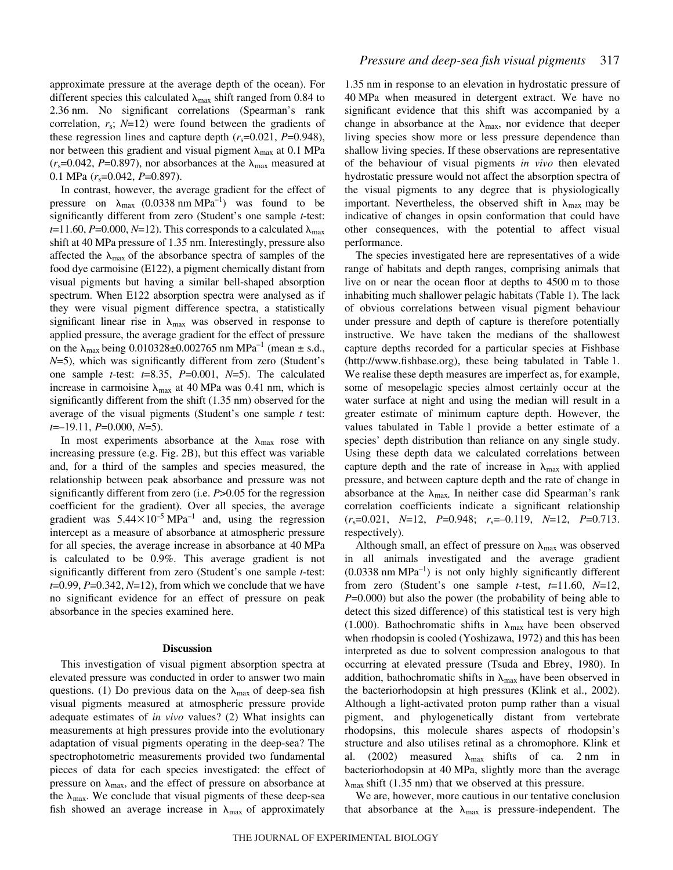approximate pressure at the average depth of the ocean). For different species this calculated  $\lambda_{\text{max}}$  shift ranged from 0.84 to 2.36 nm. No significant correlations (Spearman's rank correlation, *r*s; *N*=12) were found between the gradients of these regression lines and capture depth  $(r_s=0.021, P=0.948)$ , nor between this gradient and visual pigment  $\lambda_{\text{max}}$  at 0.1 MPa  $(r_s=0.042, P=0.897)$ , nor absorbances at the  $\lambda_{\text{max}}$  measured at 0.1 MPa ( $r_s$ =0.042, *P*=0.897).

In contrast, however, the average gradient for the effect of pressure on  $\lambda_{\text{max}}$  (0.0338 nm MPa<sup>-1</sup>) was found to be significantly different from zero (Student's one sample *t*-test:  $t=11.60, P=0.000, N=12$ ). This corresponds to a calculated  $\lambda_{\text{max}}$ shift at 40 MPa pressure of 1.35 nm. Interestingly, pressure also affected the  $\lambda_{\text{max}}$  of the absorbance spectra of samples of the food dye carmoisine (E122), a pigment chemically distant from visual pigments but having a similar bell-shaped absorption spectrum. When E122 absorption spectra were analysed as if they were visual pigment difference spectra, a statistically significant linear rise in  $\lambda_{\text{max}}$  was observed in response to applied pressure, the average gradient for the effect of pressure on the  $\lambda_{\text{max}}$  being 0.010328±0.002765 nm MPa<sup>-1</sup> (mean  $\pm$  s.d., *N*=5), which was significantly different from zero (Student's one sample *t*-test: *t*=8.35, *P*=0.001, *N*=5). The calculated increase in carmoisine  $\lambda_{\text{max}}$  at 40 MPa was 0.41 nm, which is significantly different from the shift (1.35 nm) observed for the average of the visual pigments (Student's one sample *t* test: *t*=–19.11, *P*=0.000, *N*=5).

In most experiments absorbance at the  $\lambda_{\text{max}}$  rose with increasing pressure (e.g. Fig. 2B), but this effect was variable and, for a third of the samples and species measured, the relationship between peak absorbance and pressure was not significantly different from zero (i.e. *P*>0.05 for the regression coefficient for the gradient). Over all species, the average gradient was  $5.44 \times 10^{-5}$  MPa<sup>-1</sup> and, using the regression intercept as a measure of absorbance at atmospheric pressure for all species, the average increase in absorbance at 40 MPa is calculated to be 0.9%. This average gradient is not significantly different from zero (Student's one sample *t*-test: *t*=0.99, *P*=0.342, *N*=12), from which we conclude that we have no significant evidence for an effect of pressure on peak absorbance in the species examined here.

#### **Discussion**

This investigation of visual pigment absorption spectra at elevated pressure was conducted in order to answer two main questions. (1) Do previous data on the  $\lambda_{\text{max}}$  of deep-sea fish visual pigments measured at atmospheric pressure provide adequate estimates of *in vivo* values? (2) What insights can measurements at high pressures provide into the evolutionary adaptation of visual pigments operating in the deep-sea? The spectrophotometric measurements provided two fundamental pieces of data for each species investigated: the effect of pressure on  $\lambda_{\text{max}}$ , and the effect of pressure on absorbance at the  $\lambda_{\text{max}}$ . We conclude that visual pigments of these deep-sea fish showed an average increase in  $\lambda_{\text{max}}$  of approximately

1.35 nm in response to an elevation in hydrostatic pressure of 40 MPa when measured in detergent extract. We have no significant evidence that this shift was accompanied by a change in absorbance at the  $\lambda_{\text{max}}$ , nor evidence that deeper living species show more or less pressure dependence than shallow living species. If these observations are representative of the behaviour of visual pigments *in vivo* then elevated hydrostatic pressure would not affect the absorption spectra of the visual pigments to any degree that is physiologically important. Nevertheless, the observed shift in  $\lambda_{\text{max}}$  may be indicative of changes in opsin conformation that could have other consequences, with the potential to affect visual performance.

The species investigated here are representatives of a wide range of habitats and depth ranges, comprising animals that live on or near the ocean floor at depths to 4500 m to those inhabiting much shallower pelagic habitats (Table 1). The lack of obvious correlations between visual pigment behaviour under pressure and depth of capture is therefore potentially instructive. We have taken the medians of the shallowest capture depths recorded for a particular species at Fishbase (http://www.fishbase.org), these being tabulated in Table·1. We realise these depth measures are imperfect as, for example, some of mesopelagic species almost certainly occur at the water surface at night and using the median will result in a greater estimate of minimum capture depth. However, the values tabulated in Table 1 provide a better estimate of a species' depth distribution than reliance on any single study. Using these depth data we calculated correlations between capture depth and the rate of increase in  $\lambda_{\text{max}}$  with applied pressure, and between capture depth and the rate of change in absorbance at the  $\lambda_{\text{max}}$ . In neither case did Spearman's rank correlation coefficients indicate a significant relationship (*r*s=0.021, *N*=12, *P*=0.948; *r*s=–0.119, *N*=12, *P*=0.713. respectively).

Although small, an effect of pressure on  $\lambda_{\text{max}}$  was observed in all animals investigated and the average gradient  $(0.0338 \text{ nm MPa}^{-1})$  is not only highly significantly different from zero (Student's one sample *t*-test, *t*=11.60, *N*=12, *P*=0.000) but also the power (the probability of being able to detect this sized difference) of this statistical test is very high (1.000). Bathochromatic shifts in  $\lambda_{\text{max}}$  have been observed when rhodopsin is cooled (Yoshizawa, 1972) and this has been interpreted as due to solvent compression analogous to that occurring at elevated pressure (Tsuda and Ebrey, 1980). In addition, bathochromatic shifts in  $\lambda_{\text{max}}$  have been observed in the bacteriorhodopsin at high pressures (Klink et al., 2002). Although a light-activated proton pump rather than a visual pigment, and phylogenetically distant from vertebrate rhodopsins, this molecule shares aspects of rhodopsin's structure and also utilises retinal as a chromophore. Klink et al. (2002) measured  $\lambda_{\text{max}}$  shifts of ca. 2 nm in bacteriorhodopsin at 40 MPa, slightly more than the average  $\lambda_{\text{max}}$  shift (1.35 nm) that we observed at this pressure.

We are, however, more cautious in our tentative conclusion that absorbance at the  $\lambda_{\text{max}}$  is pressure-independent. The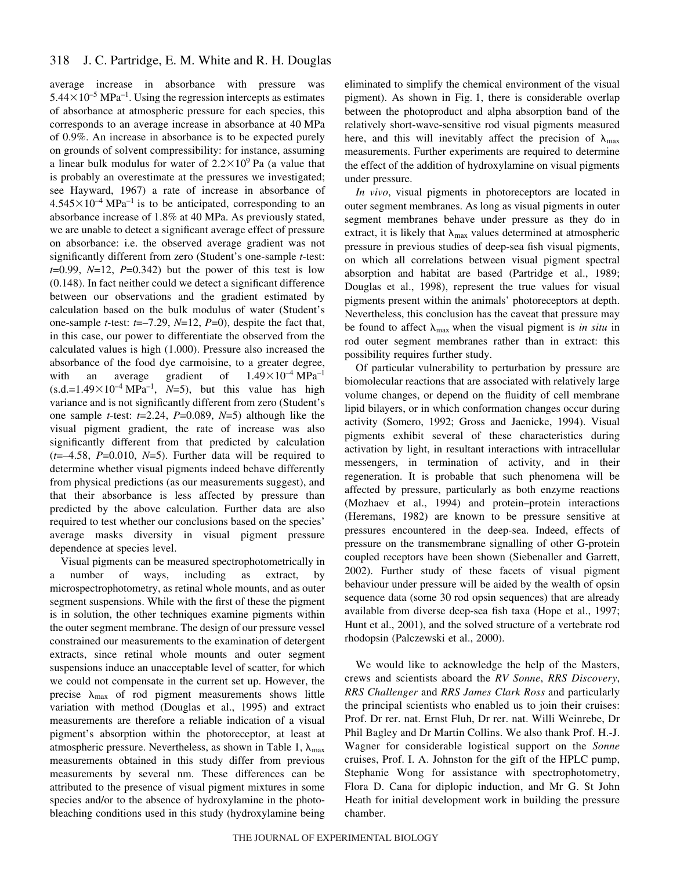# 318 J. C. Partridge, E. M. White and R. H. Douglas

average increase in absorbance with pressure was  $5.44\times10^{-5}$  MPa<sup>-1</sup>. Using the regression intercepts as estimates of absorbance at atmospheric pressure for each species, this corresponds to an average increase in absorbance at 40 MPa of 0.9%. An increase in absorbance is to be expected purely on grounds of solvent compressibility: for instance, assuming a linear bulk modulus for water of  $2.2 \times 10^9$  Pa (a value that is probably an overestimate at the pressures we investigated; see Hayward, 1967) a rate of increase in absorbance of  $4.545\times10^{-4}$  MPa<sup>-1</sup> is to be anticipated, corresponding to an absorbance increase of 1.8% at 40 MPa. As previously stated, we are unable to detect a significant average effect of pressure on absorbance: i.e. the observed average gradient was not significantly different from zero (Student's one-sample *t*-test: *t*=0.99, *N*=12, *P*=0.342) but the power of this test is low (0.148). In fact neither could we detect a significant difference between our observations and the gradient estimated by calculation based on the bulk modulus of water (Student's one-sample *t*-test: *t*=–7.29, *N*=12, *P*=0), despite the fact that, in this case, our power to differentiate the observed from the calculated values is high (1.000). Pressure also increased the absorbance of the food dye carmoisine, to a greater degree, with an average gradient of  $1.49 \times 10^{-4} \text{ MPa}^{-1}$  $(s.d.=1.49\times10^{-4}$  MPa<sup>-1</sup>, *N*=5), but this value has high variance and is not significantly different from zero (Student's one sample *t*-test: *t*=2.24, *P*=0.089, *N*=5) although like the visual pigment gradient, the rate of increase was also significantly different from that predicted by calculation  $(t=-4.58, P=0.010, N=5)$ . Further data will be required to determine whether visual pigments indeed behave differently from physical predictions (as our measurements suggest), and that their absorbance is less affected by pressure than predicted by the above calculation. Further data are also required to test whether our conclusions based on the species' average masks diversity in visual pigment pressure dependence at species level.

Visual pigments can be measured spectrophotometrically in a number of ways, including as extract, by microspectrophotometry, as retinal whole mounts, and as outer segment suspensions. While with the first of these the pigment is in solution, the other techniques examine pigments within the outer segment membrane. The design of our pressure vessel constrained our measurements to the examination of detergent extracts, since retinal whole mounts and outer segment suspensions induce an unacceptable level of scatter, for which we could not compensate in the current set up. However, the precise  $\lambda_{\text{max}}$  of rod pigment measurements shows little variation with method (Douglas et al., 1995) and extract measurements are therefore a reliable indication of a visual pigment's absorption within the photoreceptor, at least at atmospheric pressure. Nevertheless, as shown in Table 1,  $\lambda_{\text{max}}$ measurements obtained in this study differ from previous measurements by several nm. These differences can be attributed to the presence of visual pigment mixtures in some species and/or to the absence of hydroxylamine in the photobleaching conditions used in this study (hydroxylamine being

eliminated to simplify the chemical environment of the visual pigment). As shown in Fig. 1, there is considerable overlap between the photoproduct and alpha absorption band of the relatively short-wave-sensitive rod visual pigments measured here, and this will inevitably affect the precision of  $\lambda_{\text{max}}$ measurements. Further experiments are required to determine the effect of the addition of hydroxylamine on visual pigments under pressure.

*In vivo*, visual pigments in photoreceptors are located in outer segment membranes. As long as visual pigments in outer segment membranes behave under pressure as they do in extract, it is likely that  $\lambda_{\text{max}}$  values determined at atmospheric pressure in previous studies of deep-sea fish visual pigments, on which all correlations between visual pigment spectral absorption and habitat are based (Partridge et al., 1989; Douglas et al., 1998), represent the true values for visual pigments present within the animals' photoreceptors at depth. Nevertheless, this conclusion has the caveat that pressure may be found to affect  $\lambda_{\text{max}}$  when the visual pigment is *in situ* in rod outer segment membranes rather than in extract: this possibility requires further study.

Of particular vulnerability to perturbation by pressure are biomolecular reactions that are associated with relatively large volume changes, or depend on the fluidity of cell membrane lipid bilayers, or in which conformation changes occur during activity (Somero, 1992; Gross and Jaenicke, 1994). Visual pigments exhibit several of these characteristics during activation by light, in resultant interactions with intracellular messengers, in termination of activity, and in their regeneration. It is probable that such phenomena will be affected by pressure, particularly as both enzyme reactions (Mozhaev et al., 1994) and protein–protein interactions (Heremans, 1982) are known to be pressure sensitive at pressures encountered in the deep-sea. Indeed, effects of pressure on the transmembrane signalling of other G-protein coupled receptors have been shown (Siebenaller and Garrett, 2002). Further study of these facets of visual pigment behaviour under pressure will be aided by the wealth of opsin sequence data (some 30 rod opsin sequences) that are already available from diverse deep-sea fish taxa (Hope et al., 1997; Hunt et al., 2001), and the solved structure of a vertebrate rod rhodopsin (Palczewski et al., 2000).

We would like to acknowledge the help of the Masters, crews and scientists aboard the *RV Sonne*, *RRS Discovery*, *RRS Challenger* and *RRS James Clark Ross* and particularly the principal scientists who enabled us to join their cruises: Prof. Dr rer. nat. Ernst Fluh, Dr rer. nat. Willi Weinrebe, Dr Phil Bagley and Dr Martin Collins. We also thank Prof. H.-J. Wagner for considerable logistical support on the *Sonne* cruises, Prof. I. A. Johnston for the gift of the HPLC pump, Stephanie Wong for assistance with spectrophotometry, Flora D. Cana for diplopic induction, and Mr G. St John Heath for initial development work in building the pressure chamber.